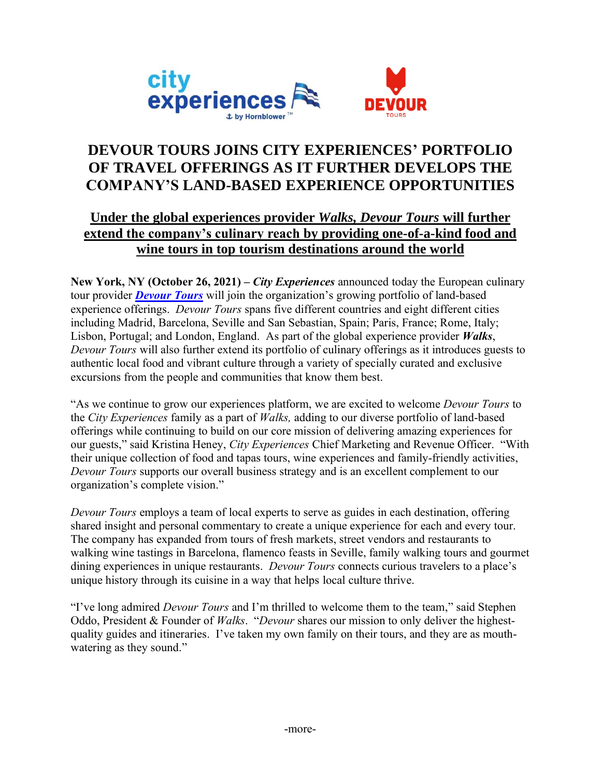

# **DEVOUR TOURS JOINS CITY EXPERIENCES' PORTFOLIO OF TRAVEL OFFERINGS AS IT FURTHER DEVELOPS THE COMPANY'S LAND-BASED EXPERIENCE OPPORTUNITIES**

## **Under the global experiences provider** *Walks, Devour Tours* **will further extend the company's culinary reach by providing one-of-a-kind food and wine tours in top tourism destinations around the world**

**New York, NY (October 26, 2021) –** *City Experiences* announced today the European culinary tour provider *[Devour Tours](https://devourtours.com/)* will join the organization's growing portfolio of land-based experience offerings. *Devour Tours* spans five different countries and eight different cities including Madrid, Barcelona, Seville and San Sebastian, Spain; Paris, France; Rome, Italy; Lisbon, Portugal; and London, England. As part of the global experience provider *Walks*, *Devour Tours* will also further extend its portfolio of culinary offerings as it introduces guests to authentic local food and vibrant culture through a variety of specially curated and exclusive excursions from the people and communities that know them best.

"As we continue to grow our experiences platform, we are excited to welcome *Devour Tours* to the *City Experiences* family as a part of *Walks,* adding to our diverse portfolio of land-based offerings while continuing to build on our core mission of delivering amazing experiences for our guests," said Kristina Heney, *City Experiences* Chief Marketing and Revenue Officer. "With their unique collection of food and tapas tours, wine experiences and family-friendly activities, *Devour Tours* supports our overall business strategy and is an excellent complement to our organization's complete vision."

*Devour Tours* employs a team of local experts to serve as guides in each destination, offering shared insight and personal commentary to create a unique experience for each and every tour. The company has expanded from tours of fresh markets, street vendors and restaurants to walking wine tastings in Barcelona, flamenco feasts in Seville, family walking tours and gourmet dining experiences in unique restaurants. *Devour Tours* connects curious travelers to a place's unique history through its cuisine in a way that helps local culture thrive.

"I've long admired *Devour Tours* and I'm thrilled to welcome them to the team," said Stephen Oddo, President & Founder of *Walks*. "*Devour* shares our mission to only deliver the highestquality guides and itineraries. I've taken my own family on their tours, and they are as mouthwatering as they sound."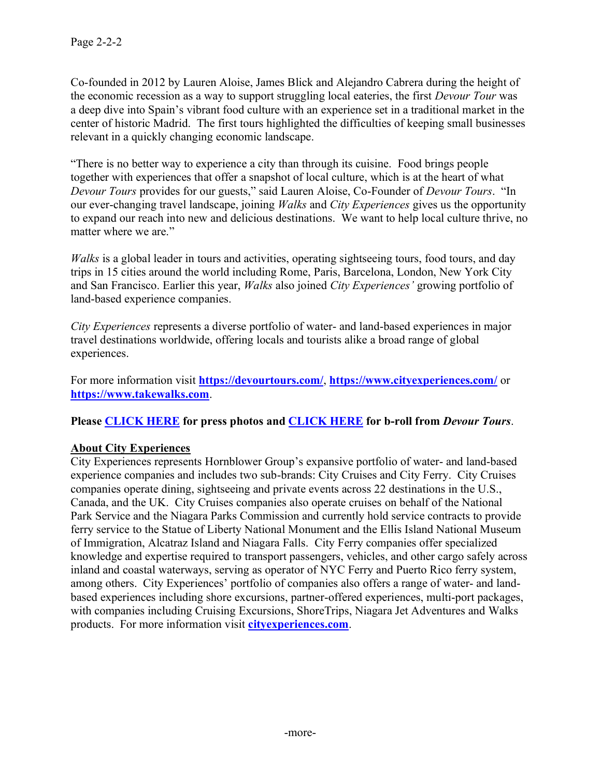Co-founded in 2012 by Lauren Aloise, James Blick and Alejandro Cabrera during the height of the economic recession as a way to support struggling local eateries, the first *Devour Tour* was a deep dive into Spain's vibrant food culture with an experience set in a traditional market in the center of historic Madrid. The first tours highlighted the difficulties of keeping small businesses relevant in a quickly changing economic landscape.

"There is no better way to experience a city than through its cuisine. Food brings people together with experiences that offer a snapshot of local culture, which is at the heart of what *Devour Tours* provides for our guests," said Lauren Aloise, Co-Founder of *Devour Tours*. "In our ever-changing travel landscape, joining *Walks* and *City Experiences* gives us the opportunity to expand our reach into new and delicious destinations. We want to help local culture thrive, no matter where we are."

*Walks* is a global leader in tours and activities, operating sightseeing tours, food tours, and day trips in 15 cities around the world including Rome, Paris, Barcelona, London, New York City and San Francisco. Earlier this year, *Walks* also joined *City Experiences'* growing portfolio of land-based experience companies.

*City Experiences* represents a diverse portfolio of water- and land-based experiences in major travel destinations worldwide, offering locals and tourists alike a broad range of global experiences.

For more information visit **<https://devourtours.com/>**, **<https://www.cityexperiences.com/>** or **[https://www.takewalks.com](https://www.takewalks.com/)**.

**Please [CLICK HERE](https://drive.google.com/drive/folders/15bMbcfKKlpt_WtdhMoZr13c04oZZgxhz?usp=sharing) for press photos an[d CLICK HERE](https://youtu.be/ycoy68dwYls) for b-roll from** *Devour Tours*.

#### **About City Experiences**

City Experiences represents Hornblower Group's expansive portfolio of water- and land-based experience companies and includes two sub-brands: City Cruises and City Ferry. City Cruises companies operate dining, sightseeing and private events across 22 destinations in the U.S., Canada, and the UK. City Cruises companies also operate cruises on behalf of the National Park Service and the Niagara Parks Commission and currently hold service contracts to provide ferry service to the Statue of Liberty National Monument and the Ellis Island National Museum of Immigration, Alcatraz Island and Niagara Falls. City Ferry companies offer specialized knowledge and expertise required to transport passengers, vehicles, and other cargo safely across inland and coastal waterways, serving as operator of NYC Ferry and Puerto Rico ferry system, among others. City Experiences' portfolio of companies also offers a range of water- and landbased experiences including shore excursions, partner-offered experiences, multi-port packages, with companies including Cruising Excursions, ShoreTrips, Niagara Jet Adventures and Walks products. For more information visit **[cityexperiences.com](https://www.cityexperiences.com/)**.